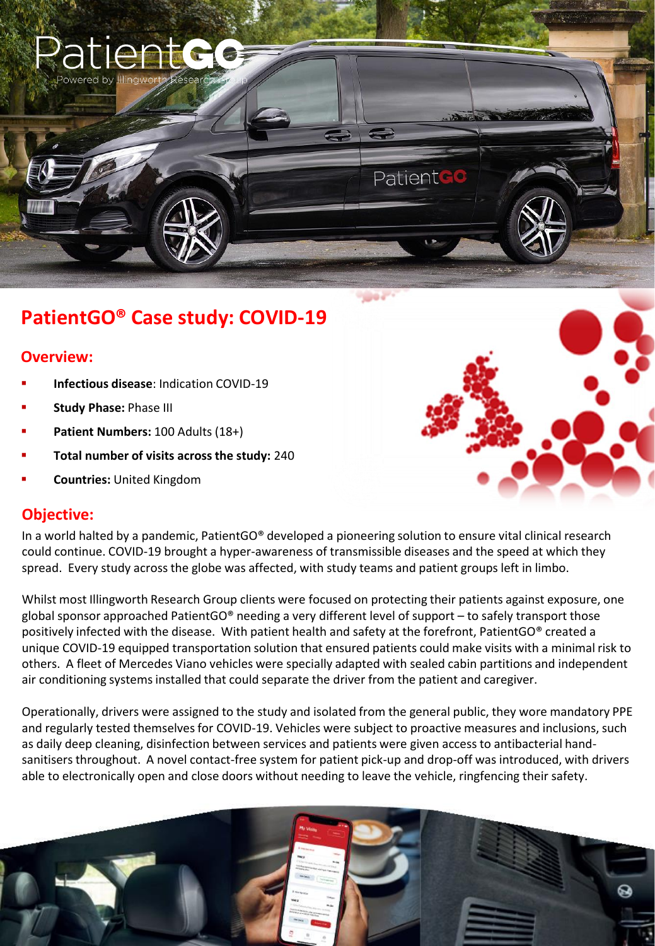

# **PatientGO® Case study: COVID-19**

### **Overview:**

- **Infectious disease**: Indication COVID-19
- **Study Phase: Phase III**
- Patient Numbers: 100 Adults (18+)
- Total number of visits across the study: 240
- **Countries: United Kingdom**

#### **Objective:**

In a world halted by a pandemic, PatientGO® developed a pioneering solution to ensure vital clinical research could continue. COVID-19 brought a hyper-awareness of transmissible diseases and the speed at which they spread. Every study across the globe was affected, with study teams and patient groups left in limbo.

Whilst most Illingworth Research Group clients were focused on protecting their patients against exposure, one global sponsor approached PatientGO® needing a very different level of support – to safely transport those positively infected with the disease. With patient health and safety at the forefront, PatientGO® created a unique COVID-19 equipped transportation solution that ensured patients could make visits with a minimal risk to others. A fleet of Mercedes Viano vehicles were specially adapted with sealed cabin partitions and independent air conditioning systems installed that could separate the driver from the patient and caregiver.

Operationally, drivers were assigned to the study and isolated from the general public, they wore mandatory PPE and regularly tested themselves for COVID-19. Vehicles were subject to proactive measures and inclusions, such as daily deep cleaning, disinfection between services and patients were given access to antibacterial handsanitisers throughout. A novel contact-free system for patient pick-up and drop-off was introduced, with drivers able to electronically open and close doors without needing to leave the vehicle, ringfencing their safety.